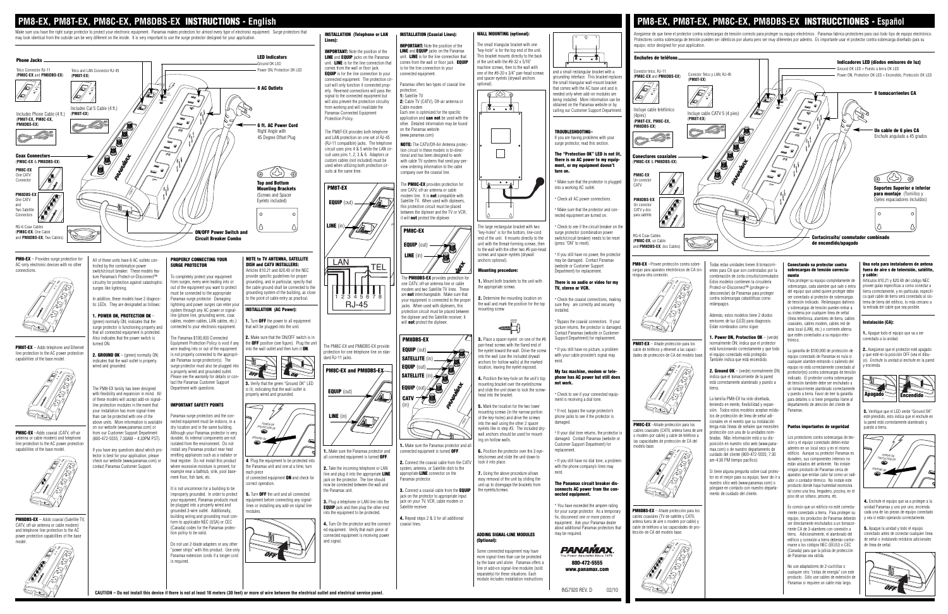ADDING SIGNAL-LINE MODULES (Optional):

Some connected equipment may have more signal-lines than can be protected by the base unit alone. Panamax offers a ine of add-on signal-line modules (sold separately) for these situations. Each module includes installation instructions

. Make sure the Panamax protector and a nnected equipment is turned  $O\text{FF}.$ 

2. Connect the coaxial cable from the CAT

iack on the protector to appropriate input

**4.** Repeat steps 2 & 3 for all additional

# the eyelets/screw

6. Position the protector over the 3 eyelets/screws and slide the unit down to

PM8DBS-EX - Adds coaxial (Satellite TV CATV, off-air antenna or cable modem) and telephone line protection to the AC power protection capabilities of the base model.

lock it into place. 7. Using the above procedure allows



easy removal of the unit by sliding the unit up to disengage the brackets from

If you have any questions about which pro tector is best for your application, please check our website (www.panamax.com) or contact Panamax Customer Support.

> 800-472-5555 www.panamax.com

**PANAMAX** 

INS7920 REV. D 02/10

capabilities of the base model.

#### **PM8-EX, PM8T-EX, PM8C-EX, PM8DBS-EX** INSTRUCTIONS - **English PM8-EX, PM8T-EX, PM8C-EX, PM8DBS-EX** INSTRUCCTIONES - **Español** Make sure you have the right surge protector to protect your electronic equipment. Panamax makes protectors for almost every type of electronic equipment. Surge protectors that WALL MOUNTING (ontional): INSTALLATION (Telephone or LAN INSTALLATION (Coaxial Lines): Asegúrese de que tiene el protector contra sobrecargas de tensión correcto para proteger su equipo electrónico. Panamax fabrica protectores para casi todo tipo de equipo electrónico. may look identical from the outside can be very different on the inside. It is very important to use the surge protector designed for your application. Protectores contra sobrecarga de tensión pueden ser idénticos por afuera pero ser muy diferentes por adentro. Es importante usar el protector contra sobrecarga diseñado para su Lines): he small triangular bracket with one equipo. ector designed for your application. **IMPORTANT:** Note the position of the IMPORTANT: Note the position of the LINE and EQUIP jacks on the Panamax "key-hole" is for the top end of the unit. LED Indicators LINE and **EQUIP** jacks on the Panamax unit. LINE is for the line connection that This bracket mounts directly to the back  $\sigma$  $\overline{\cdot}$ Enchufes de teléfono Phone Jacks of the unit with the #8-32 x 5/16" unit. LINE is for the line connection that comes from the wall or floor jack. **EQUIP** Indicadores LED (díodos emisores de luz) Ground OK LED machine screws, then to the wall with is for the line connection to your Power ON, Protection OK LED comes from the wall or floor jack. Ground OK LED = Puesto a tierra OK LED Telco Connector RJ-11 Telco and LAN Connector RJ-45 and a small rectangular bracket with a Conector telco, RJ-11 one of the #6-20 x 3/4" pan-head screws **EQUIP** is for the line connection to your onnected equipment. (**PM8C-EX** and **PM8DBS-EX**) (**PM8T-EX**) Conector Telco y LAN, RJ-45 Power ON, Protection OK LED = Encendido, Protección OK LED grounding interface. This bracket replace (**PM8C-EX** and **PM8DBS-EX**) connected equipment. The protection ci and spacer eyelets (drywall anchors (**PM8T-EX**) the small triangular wall-mount bracket cuit will only function if connected prop-Panamax offers two types of coaxial line optional). that comes with the AC base unit and is 8 AC Outlets  $\sqrt{\frac{2}{\pi}}$ PROTECTION OK GROUND OK POWER ON PROTECTION OK GROUND OK erly. Reversed connections will pass the protection; PROTECTION OK 8 tomacorrientes CA needed only when add-on modules are POWER ON 1) Satellite TV GROUND OK signal to the connected equipment but lS| PROTECTION OK PROTECTION OK being installed. More information can be POWER ON will also prevent the protection circuitry 2) Cable TV (CATV), Off-air antenna or PROTECTION OK GROUND CON obtained on the Panamax website or by  $\overline{5}$ from working and will invalidate the Cable modem  $\overline{\cdot}$ GROUND CON Includes Cat 5 Cable (4 ft.) calling our Customer Support Department Incluye cable telefónico Panamax Connected Equipment Each one is optimized for the specific Incluye cable CATV 5 (4 pies) Includes Phone Cable (4 ft.) (**PM8T-EX**) (4pies) (**PM8T-EX, PM8C-EX,**  application and **can not** be used with the (**PM8T-EX, PM8C-EX,**  Protection Policy. (**PM8T-EX**) **PM8DBS-EX**) 6 ft. AC Power Cord other. Detailed information may be found **PM8DBS-EX**) on the Panamax website Un cable de 6 pies CA TROUBLESHOOTING– Right Angle with The PM8T-EX provides both telephone (www.panamax.com) Enchufe angulado a 45 grados and LAN protection on one set of RJ-45 45 Degree Offset Plug If you are having problems with your surge protector, read this section. (RJ-11 compatible) jacks. The telephone NOTE: The CATV/Off-Air Antenna proteccircuit uses pins 4 & 5 while the LAN cirtion circuit in these models is bi-direc-The "Protection OK" LED is not lit, cuit uses pins 1, 2, 3 & 6. Adaptors or tional and has been designed to work Coax Connectors Conectores coaxiales there is no AC power to my equip-(**PM8C-EX** & **PM8DBS-EX**) custom cables (not included) must be with cable TV systems that send pay-per (**PM8C-EX** & **PM8DBS-EX**) used when utilizing both protection cirment, or my equipment doesn't view ordering information to the cable **PM8C-EX** turn on. cuits at the same time.  $(\leq)$ company over the coaxial line. One CATV **PM8C-EX**  $\Rightarrow$  $(25)$ Connector . Make sure that the protector is plugged Un conector Top and Bottom The PM8C-EX provides protection for CATV PM8T-EX into a working AC outlet. Mounting Brackets Soportes Superior e inferio one CATV, off-air antenna or cable POWER **PM8DBS-EX para montaje** (Tornillos y<br>Ojetes espaciadores incluídos) (Screws and Spacer nodem line. It is **not** compatible with POWER . Check all AC power connections. One CATV **PM8DBS-EX** Ojetes espaciadores incluídos) Eyelets included) EQUIP (out) Satellite TV. When used with diplexers and this protection circuit must be placed Two Satellite . Make sure that the protector and con-CATV y dos between the diplexer and the TV or VCR;  $\Omega$ l o Connectors nected equipment are turned on. para satéli it will **not** protect the diplexer.  $\overline{\phantom{a}}$  line ( UN The large rectangular bracket with two . Check to see if the circuit breaker on the RG-6 Coax Cables PM8C-EX ON/OFF Power Switch and (**PM8C-EX**, One Cable key-holes" is for the bottom, line-cord surge protector (combination power RG-6 Coax Cables and **PM8DBS-EX**. Two Cabl switch/circuit breaker) needs to be reset Cortacircuito/ conmutador combinado Circuit Breaker Combo end of the unit. It mounts directly to the PM8C-EX, un Cabl unit with the thread-forming screws, then (press "ON" to reset). de encendido/apagado **EQUIP** (out) and **PM8DBS-EX**, dos Cables) o the wall with the other two  $#6$  pan-head screws and spacer eyelets (drywall . If you still have no nower, the protector LINE (in) **PM8-EX** – Provides surge protection for PROPERLY CONNECTING YOUR NOTE to TV ANTENNA, SATELLITE All of these units have 8 AC outlets conmay be damaged. Contact Panamax anchors optional). <u>Lan</u> tel PM8-EX –Provee protección contra sobre-Una nota para instaladores de antena AC-only electronic devices with no other olled by the combination power SURGE PROTECTOR DISH and CATV INSTALLERS: website or Customer Support Todas estas unidades tienen 8 tomacorri-Conectando su protector contra cargas para aparatos electrónicos de CA sin sobrecargas de tensión correctafuera de aire s de televisión ing procedure connections. switch/circuit breaker. These models fea-Articles 810.21 and 820.40 of the NEC Department) for replacement. entes para CA que son controlados por la provide specific guidelines for proper ninguna otra conexión. combinación de corta circuito/conmutador. y cable: mente ture Panamax's Protect-or-Disconnect™ To completely protect your equipment The PM8DBS-EX provides protection fo Artículos 810.21 y 820.40 del código NEC from surges, every wire leading into or unding, and in particular, specify that 1. Mount both brackets to the unit with Para proteger su equipo completamente de circuitry for protection against catastrophic There is no audio or video for my Estos modelos contienen la circuitería one CATV, off-air antenna line or cable sobrecargas, cada alambre que sale o entra ovee guías especifícas a como conectar a surges like lightning. out of the equipment you want to protect the cable ground shall be connected to the the appropriate screws. TV, stereo or VCR. Protect-or-Disconnect™ (proteger-omodem and two Satellite TV lines. These grounding system of the building, as close del equipo que usted quiere proteger debe ierra correctamente, y en particular, especifi desconectar) de Panamax para proteger must be connected to the appropriate are not interchangeable. Make sure that ca quel cable de tierra será conectado al sis-2. Determine the mounting location on ser conectado al protector de sobrecargas In addition, these models have 2 diagnos-Panamax surge protector. Damaging o the point of cable entry as practical. 1 2 3 4 5 6 7 8 contra sobrecargas catastóficas como . Check the coaxial connections, making your equipment is connected to the prope de tensión indicado. Relámpagos dañino en<br>ema de tierra del edificio, lo más cercano a tic LEDs. They are designated as follows: lightning and power surges can enter you RJ-45 the wall and mark the position for the top relámpagos. sure they are correctly and securely jacks. When used with diplexers, this y sobrecargas de tensión pueden entrar a la entrada del cable que sea posible. INSTALLATION (AC Power): system through any AC power or signalmounting screw. installed. protection circuit must be placed between su sistema por cualquier línea de señal Además, estos modelos tiene 2 díodos 1. POWER ON, PROTECTION OK – line (phone line, grounding wires, coax the diplexer and the Satellite receiver; it línea telefónica, alambres de tierra, cable cables, modem cables, LAN cables, etc.) . Turn OFF the power to all equipment . Bypass the coaxial connectors. If your emisores de luz (LED) para diagnosis. (green) normally ON; indicates that the will **not** protect the diplexer. Instalación (CA): POWER POWER coaxiales, cables modem, cables red de Están nombrados como sigue: surge protector is functioning properly an connected to your electronic equipment. that will be plugged into the unit.  $\frac{1}{2}$  picture returns, the protector is damaged ╶┉┉┈ área local (LAN), etc.) o corriente alterna that all connected equipment is protected. Contact Panamax (website or Customer 1. Apague todo el equipo que va a ser que estén conectados a su equipo elec-The Panamax \$100,000 Connected 2. Make sure that the ON/OFF switch is in 1. Power ON, Protection OK - (verde) Also indicates that the power switch is PM8DBS-EX 3. Place a spacer eyelet on one of the # Support Department) for replacement. conectado a la unidad. trónico. Equipment Protection Policy is void if any he OFF position (see figure). Plug the unit PM8T-EX – Añade protección para los almente ON; indica que el protector turned ON. The PM8C-EX and PM8DBS-EX provide an-head screws with the flared end of PM8T-EX - Adds telephone and Etherne wire leading into or out of the equipment into the wall outlet and then turn it ON . If you still have no picture, a problem cable de teléfono y ethernet a las capaciestá funcionando correctamente y que todo EQUIP (out) 2. Asegúrese que el protector esté apagado the eyelet toward the wall. Drive the screy La garantía de \$100,000 de protección de protection for one telephone line on stanline protection to the AC power protection el equipo conectado está protegido. 2. GROUND OK – (green) normally ON: is not properly connected to the appropriinto the wall (use the included drywall with your cable provider's signal may dades de protección de CA del modelo b equipo conectado de Panamax es nula si y que esté en la posición OFF (vea el dibu-.<br>dard RJ-11 jacks SATELLITE (in capabilities of the base model. ate Panamax surge protector(s). The También indica que está encendido. indicates that the wall outlet is properly anchors for hollow walls) at the marked exist. cualquier alambre entrando o saliendo del wired and grounded. surge protector must also be plugged into .<br>encienda EQUIP (ou location, leaving the eyelet exposed. equipo no está correctamente conectado al PM8C-EX and PM8DBS-EX a properly wired and grounded outlet. My fax machine, modem or tele-2. Ground OK – (verde) normalmente ON protector(es) contra sobrecargas de tensió SATELLITE ( Please see the warranty for details or con-4. Position the key-hole on the unit's top phone has AC power but still does indica que el tomacorriente de la pared indicado. El protector contra sobrecargas tact the Panamax Customer Support está correctamente alambrado y puesto a 3. Verify that the green "Ground OK" LED de tensión también debe ser enchufado a mounting bracket over the eyelet/screw not work. The PM8-EX family has been designed Department with questions. FNIIIP is lit, indicating that the wall outlet is tierra. un tomacorriente alambrado correctament and slide the unit down to lock the screw **FOILP** (out) y puesto a tierra. Favor de leer la garantía with flexibility and expansion in mind. All properly wired and grounded. . Check to see if your connected equip-Apagado **Encendido** head into the bracket. **CATV** La familia PM8-EX ha sido diseñada, para detalles o si tiene preguntas llame al of these models will accept add-on signalment is receiving a dial tone. teniendo en mente, flexibilidad y expanline protection modules in the event that IMPORTANT SAFETY POINTS departamento de atención del cliente de (in) 5. Mark the location for the two lower your installation has more signal-lines . If not, bypass the surge protector's sión. Todos estos modelos aceptan módu-Panamax. 3. Verifique que el LED verde "Ground OK" mounting screws (in the narrow portion **LINE** (in los de protección de línea de señal adithan can be protected with one of the Panamax surge protectors and the conphone jacks to see if the protector is esté prendido, esto indica que el enchufe en of the key-holes) and drive the screws nected equipment must be indoors, in a cionales en el evento que su instalación POWER above units. More information is available damaged. la pared está correctamente alambrado y into the wall using the other 2 spacer PM8C-EX –Añade protección para los dry location and in the same building. POWER ON tenga más líneas de señales que necesiten Puntos importantes de seguridad on our website (www.panamax.com) or eyelets like in step #3. The included drypuesto a tierra. PROTECTION OK cables coaxiales (CATV, antena fuera de aire **PM8C-EX** –Adds coaxial (CATV, off-air from our Customer Support Department Although your Panamax protector is very . If your dial tone returns, the protector is protección con una de la unidades nomwall anchors should be used for mounto modem por cable) y cable de teléfono a<br>las canacidades de protección de CA del Los protectores contra sobrecargas de ten antenna or cable modem) and telephone durable, its internal components are not bradas. Más información está a su dis-(800-472-5555; 7:30AM – 4:30PM PST). GROUND OK damaged. Contact Panamax (website or ing on hollow walls. las capacidades de p line protection to the AC power protection isolated from the environment. Do not



Si tiene alguna pregunta sobre cual protector es el mejor para su equipo, favor de ir nuestro sitio web (www.panamax.com) o póngase en contacto con nuestro departamento de cuidado del cliente.

install any Panamax product near heat emitting appliances such as a radiator or heat register. Do not install this product where excessive moisture is present; for example near a bathtub, sink, pool basement floor, fish tank, etc.

It is not uncommon for a building to be improperly grounded. In order to protect your equipment, Panamax products must be plugged into a properly wired and grounded 3-wire outlet. Additionally, building wiring and grounding must conform to applicable NEC (USA) or CEC (Canada) codes for the Panamax protection policy to be valid.

4. Enchufe el equipo que va a proteger a la unidad Panamax y uno por uno, encienda cada una de las piezas de equipo conectado y vea si están operando correctamente.

5. Apague la unidad y todo el equipo conectado antes de conectar cualquier línea de señal o instalando módulos adicionales de línea de señal.



Do not use 2-blade adapters or any other "power strips" with this product. Use only Panamax extension cords if a longer cord

is required.

each piece

correct operation.

lines or installing any add-on signal line

3. Plug a telephone or LAN line into the **EQUIP** jack and then plug the other end

modules.

4. Turn On the protector and the connected equipment. Verify that each piece of connected equipment is receiving power

modelo base.





equipment. Ask your Panamax dealer about additional Panamax protectors that



posición en nuestro sitio web (www.panamax.com) o de nuestro departamento de cuidado del cliente (800-472-5555; 7:30 am-4:30 PM tiempo pacífico).



sión y el equipo conectado deben estar adentro en un local seco y en el mismo edificio. Aunque su protector Panamax es duradero, sus componentes internos no están aislados del ambiente. No instale ningún producto de Panamax cerca de aparatos que emitan calor tal como un rad ador o contador térmico. No instale este producto donde haya humedad excessiva al como una tina, fregadero, piscina, en e piso de un sótano, pescera, etc.

Es común que un edificio no esté correctamente conectado a tierra. Para proteger su equipo, los productos de Panamax deberán ser directamente enchufados a un tomaco riente CA de 3-alambres con conexión a tierra. Adicionalmente, el alambrado del edificio y conexión a tierra deberán confo marse a los códigos NEC (EEUU) o CEC (Canada) para que la póliza de protección de Panamax sea válida.

No use adaptadores de 2-cuchillas o cualquier otro "cintas de energía" con este producto. Sólo use cables de extensión de Panamax si requiere un cable más largo.

). Enchufe la unidad al enchufe en la pared





into the equipment to be protected.

and signal.

system, antenna, or Satellite dish to the appropriate LINE connector on the Panamax protector.

3. Connect a coaxial cable from the **EQUIP** jack on your TV, VCR, cable modem or Satellite receive

coaxial lines.

Customer Support Department) for

replacement.

exist.





ables coaxiales (TV de satélite y CATV, atena fuera de aire o modem por cable) cable de teléfono a las capacidades de pro ección de CA del modelo base.

may be required.

**CAUTION – Do not install this device if there is not at least 10 meters (30 feet) or more of wire between the electrical outlet and electrical service panel.**